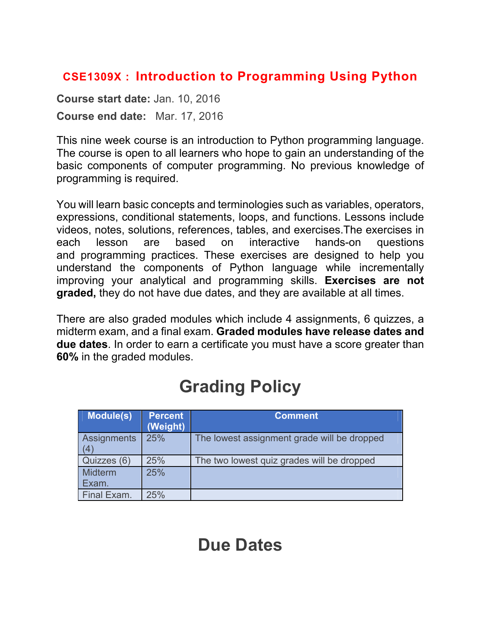#### **CSE1309X : Introduction to Programming Using Python**

**Course start date:** Jan. 10, 2016 **Course end date:** Mar. 17, 2016

This nine week course is an introduction to Python programming language. The course is open to all learners who hope to gain an understanding of the basic components of computer programming. No previous knowledge of programming is required.

You will learn basic concepts and terminologies such as variables, operators, expressions, conditional statements, loops, and functions. Lessons include videos, notes, solutions, references, tables, and exercises.The exercises in each lesson are based on interactive hands-on questions and programming practices. These exercises are designed to help you understand the components of Python language while incrementally improving your analytical and programming skills. **Exercises are not graded,** they do not have due dates, and they are available at all times.

There are also graded modules which include 4 assignments, 6 quizzes, a midterm exam, and a final exam. **Graded modules have release dates and due dates**. In order to earn a certificate you must have a score greater than **60%** in the graded modules.

## **Grading Policy**

| Module(s)                | <b>Percent</b><br>(Weight) | <b>Comment</b>                              |
|--------------------------|----------------------------|---------------------------------------------|
| <b>Assignments</b><br>΄4 | 25%                        | The lowest assignment grade will be dropped |
| Quizzes (6)              | 25%                        | The two lowest quiz grades will be dropped  |
| <b>Midterm</b><br>Exam.  | 25%                        |                                             |
| Final Exam.              | 25%                        |                                             |

### **Due Dates**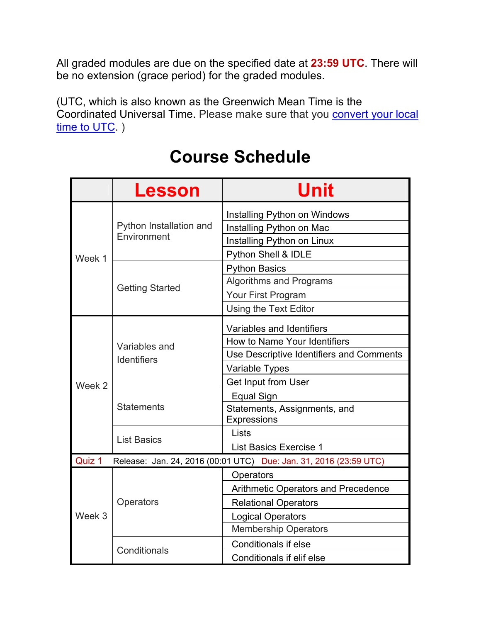All graded modules are due on the specified date at **23:59 UTC**. There will be no extension (grace period) for the graded modules.

(UTC, which is also known as the Greenwich Mean Time is the Coordinated Universal Time. Please make sure that you **convert your local** time to UTC. )

|                                                                             | <b>Lesson</b>                       | Unit                                       |  |  |
|-----------------------------------------------------------------------------|-------------------------------------|--------------------------------------------|--|--|
| Week 1                                                                      |                                     | Installing Python on Windows               |  |  |
|                                                                             | Python Installation and             | Installing Python on Mac                   |  |  |
|                                                                             | Environment                         | Installing Python on Linux                 |  |  |
|                                                                             |                                     | Python Shell & IDLE                        |  |  |
|                                                                             |                                     | <b>Python Basics</b>                       |  |  |
|                                                                             | <b>Getting Started</b>              | <b>Algorithms and Programs</b>             |  |  |
|                                                                             |                                     | Your First Program                         |  |  |
|                                                                             |                                     | Using the Text Editor                      |  |  |
|                                                                             | Variables and<br><b>Identifiers</b> | Variables and Identifiers                  |  |  |
|                                                                             |                                     | How to Name Your Identifiers               |  |  |
|                                                                             |                                     | Use Descriptive Identifiers and Comments   |  |  |
|                                                                             |                                     | Variable Types                             |  |  |
| Week 2                                                                      |                                     | <b>Get Input from User</b>                 |  |  |
|                                                                             |                                     | <b>Equal Sign</b>                          |  |  |
|                                                                             | <b>Statements</b>                   | Statements, Assignments, and               |  |  |
|                                                                             |                                     | <b>Expressions</b>                         |  |  |
|                                                                             | <b>List Basics</b>                  | Lists                                      |  |  |
|                                                                             |                                     | <b>List Basics Exercise 1</b>              |  |  |
| Quiz 1<br>Release: Jan. 24, 2016 (00:01 UTC) Due: Jan. 31, 2016 (23:59 UTC) |                                     |                                            |  |  |
| Week 3                                                                      |                                     | Operators                                  |  |  |
|                                                                             |                                     | <b>Arithmetic Operators and Precedence</b> |  |  |
|                                                                             | Operators                           | <b>Relational Operators</b>                |  |  |
|                                                                             |                                     | <b>Logical Operators</b>                   |  |  |
|                                                                             |                                     | <b>Membership Operators</b>                |  |  |
|                                                                             | Conditionals                        | <b>Conditionals if else</b>                |  |  |
|                                                                             |                                     | Conditionals if elif else                  |  |  |

#### **Course Schedule**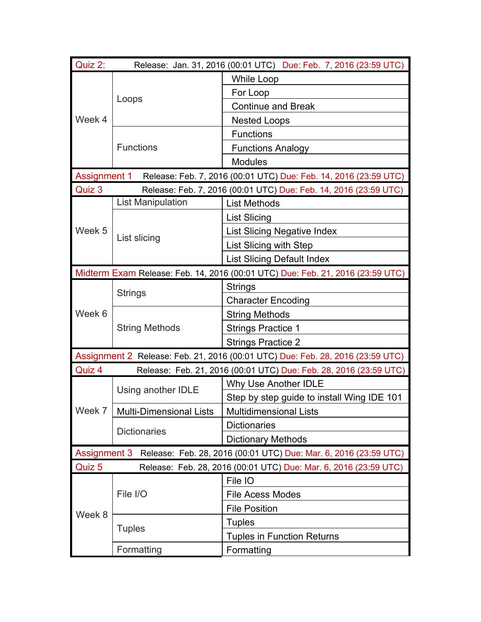| Quiz 2:                                                                        |                                                                                | Release: Jan. 31, 2016 (00:01 UTC) Due: Feb. 7, 2016 (23:59 UTC)  |  |  |  |
|--------------------------------------------------------------------------------|--------------------------------------------------------------------------------|-------------------------------------------------------------------|--|--|--|
|                                                                                |                                                                                | <b>While Loop</b>                                                 |  |  |  |
|                                                                                | Loops                                                                          | For Loop                                                          |  |  |  |
|                                                                                |                                                                                | <b>Continue and Break</b>                                         |  |  |  |
| Week 4                                                                         |                                                                                | <b>Nested Loops</b>                                               |  |  |  |
|                                                                                |                                                                                | <b>Functions</b>                                                  |  |  |  |
|                                                                                | <b>Functions</b>                                                               | <b>Functions Analogy</b>                                          |  |  |  |
|                                                                                |                                                                                | <b>Modules</b>                                                    |  |  |  |
| Assignment 1 Release: Feb. 7, 2016 (00:01 UTC) Due: Feb. 14, 2016 (23:59 UTC)  |                                                                                |                                                                   |  |  |  |
| Quiz 3                                                                         |                                                                                | Release: Feb. 7, 2016 (00:01 UTC) Due: Feb. 14, 2016 (23:59 UTC)  |  |  |  |
|                                                                                | <b>List Manipulation</b>                                                       | <b>List Methods</b>                                               |  |  |  |
|                                                                                |                                                                                | <b>List Slicing</b>                                               |  |  |  |
| Week 5                                                                         |                                                                                | <b>List Slicing Negative Index</b>                                |  |  |  |
|                                                                                | List slicing                                                                   | List Slicing with Step                                            |  |  |  |
|                                                                                |                                                                                | <b>List Slicing Default Index</b>                                 |  |  |  |
|                                                                                | Midterm Exam Release: Feb. 14, 2016 (00:01 UTC) Due: Feb. 21, 2016 (23:59 UTC) |                                                                   |  |  |  |
|                                                                                |                                                                                | <b>Strings</b>                                                    |  |  |  |
|                                                                                | <b>Strings</b>                                                                 | <b>Character Encoding</b>                                         |  |  |  |
| Week 6                                                                         |                                                                                | <b>String Methods</b>                                             |  |  |  |
|                                                                                | <b>String Methods</b>                                                          | <b>Strings Practice 1</b>                                         |  |  |  |
|                                                                                |                                                                                | <b>Strings Practice 2</b>                                         |  |  |  |
| Assignment 2 Release: Feb. 21, 2016 (00:01 UTC) Due: Feb. 28, 2016 (23:59 UTC) |                                                                                |                                                                   |  |  |  |
| Quiz 4                                                                         |                                                                                | Release: Feb. 21, 2016 (00:01 UTC) Due: Feb. 28, 2016 (23:59 UTC) |  |  |  |
|                                                                                |                                                                                | Why Use Another IDLE                                              |  |  |  |
|                                                                                | Using another IDLE                                                             | Step by step guide to install Wing IDE 101                        |  |  |  |
|                                                                                | Week 7   Multi-Dimensional Lists                                               | <b>Multidimensional Lists</b>                                     |  |  |  |
|                                                                                |                                                                                | <b>Dictionaries</b>                                               |  |  |  |
|                                                                                | <b>Dictionaries</b>                                                            | <b>Dictionary Methods</b>                                         |  |  |  |
| Assignment 3 Release: Feb. 28, 2016 (00:01 UTC) Due: Mar. 6, 2016 (23:59 UTC)  |                                                                                |                                                                   |  |  |  |
| Quiz 5                                                                         |                                                                                | Release: Feb. 28, 2016 (00:01 UTC) Due: Mar. 6, 2016 (23:59 UTC)  |  |  |  |
| Week 8                                                                         |                                                                                | File IO                                                           |  |  |  |
|                                                                                | File I/O                                                                       | <b>File Acess Modes</b>                                           |  |  |  |
|                                                                                |                                                                                | <b>File Position</b>                                              |  |  |  |
|                                                                                |                                                                                | <b>Tuples</b>                                                     |  |  |  |
|                                                                                | <b>Tuples</b>                                                                  | <b>Tuples in Function Returns</b>                                 |  |  |  |
|                                                                                | Formatting                                                                     | Formatting                                                        |  |  |  |